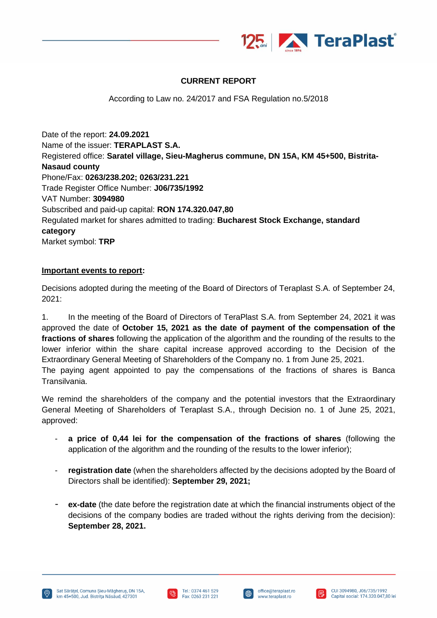

## **CURRENT REPORT**

According to Law no. 24/2017 and FSA Regulation no.5/2018

Date of the report: **24.09.2021** Name of the issuer: **TERAPLAST S.A.** Registered office: **Saratel village, Sieu-Magherus commune, DN 15A, KM 45+500, Bistrita-Nasaud county** Phone/Fax: **0263/238.202; 0263/231.221** Trade Register Office Number: **J06/735/1992** VAT Number: **3094980** Subscribed and paid-up capital: **RON 174.320.047,80** Regulated market for shares admitted to trading: **Bucharest Stock Exchange, standard category** Market symbol: **TRP**

## **Important events to report:**

Decisions adopted during the meeting of the Board of Directors of Teraplast S.A. of September 24, 2021:

1. In the meeting of the Board of Directors of TeraPlast S.A. from September 24, 2021 it was approved the date of **October 15, 2021 as the date of payment of the compensation of the fractions of shares** following the application of the algorithm and the rounding of the results to the lower inferior within the share capital increase approved according to the Decision of the Extraordinary General Meeting of Shareholders of the Company no. 1 from June 25, 2021. The paying agent appointed to pay the compensations of the fractions of shares is Banca Transilvania.

We remind the shareholders of the company and the potential investors that the Extraordinary General Meeting of Shareholders of Teraplast S.A., through Decision no. 1 of June 25, 2021, approved:

- **a price of 0,44 lei for the compensation of the fractions of shares** (following the application of the algorithm and the rounding of the results to the lower inferior);
- **registration date** (when the shareholders affected by the decisions adopted by the Board of Directors shall be identified): **September 29, 2021;**
- **ex-date** (the date before the registration date at which the financial instruments object of the decisions of the company bodies are traded without the rights deriving from the decision): **September 28, 2021.**